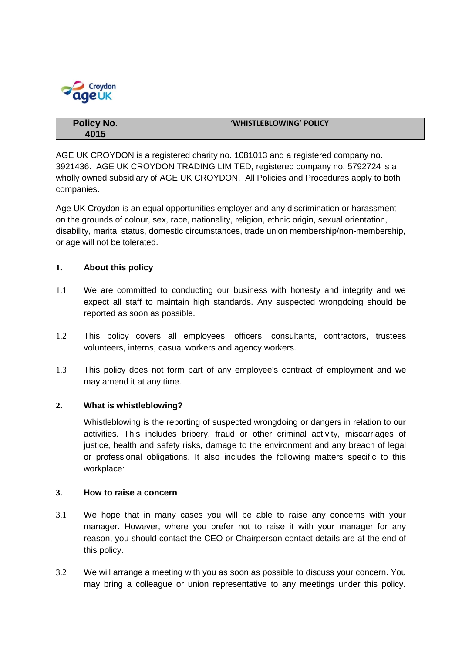

| <b>Policy No.</b> | 'WHISTLEBLOWING' POLICY |
|-------------------|-------------------------|
| 4015              |                         |

AGE UK CROYDON is a registered charity no. 1081013 and a registered company no. 3921436. AGE UK CROYDON TRADING LIMITED, registered company no. 5792724 is a wholly owned subsidiary of AGE UK CROYDON. All Policies and Procedures apply to both companies.

Age UK Croydon is an equal opportunities employer and any discrimination or harassment on the grounds of colour, sex, race, nationality, religion, ethnic origin, sexual orientation, disability, marital status, domestic circumstances, trade union membership/non-membership, or age will not be tolerated.

# **1. About this policy**

- 1.1 We are committed to conducting our business with honesty and integrity and we expect all staff to maintain high standards. Any suspected wrongdoing should be reported as soon as possible.
- 1.2 This policy covers all employees, officers, consultants, contractors, trustees volunteers, interns, casual workers and agency workers.
- 1.3 This policy does not form part of any employee's contract of employment and we may amend it at any time.

## **2. What is whistleblowing?**

Whistleblowing is the reporting of suspected wrongdoing or dangers in relation to our activities. This includes bribery, fraud or other criminal activity, miscarriages of justice, health and safety risks, damage to the environment and any breach of legal or professional obligations. It also includes the following matters specific to this workplace:

## **3. How to raise a concern**

- 3.1 We hope that in many cases you will be able to raise any concerns with your manager. However, where you prefer not to raise it with your manager for any reason, you should contact the CEO or Chairperson contact details are at the end of this policy.
- 3.2 We will arrange a meeting with you as soon as possible to discuss your concern. You may bring a colleague or union representative to any meetings under this policy.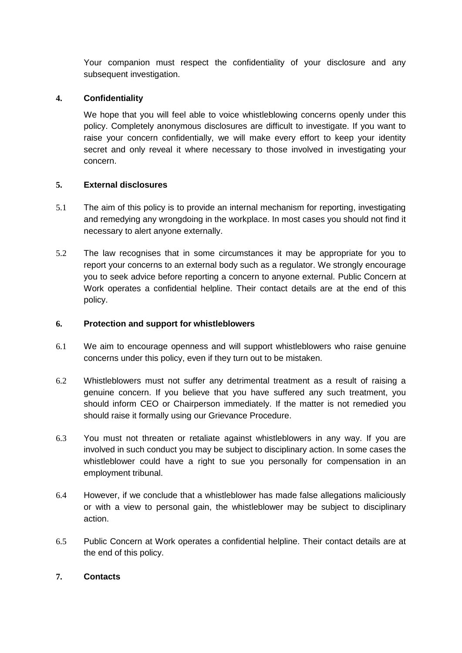Your companion must respect the confidentiality of your disclosure and any subsequent investigation.

## **4. Confidentiality**

We hope that you will feel able to voice whistleblowing concerns openly under this policy. Completely anonymous disclosures are difficult to investigate. If you want to raise your concern confidentially, we will make every effort to keep your identity secret and only reveal it where necessary to those involved in investigating your concern.

# **5. External disclosures**

- 5.1 The aim of this policy is to provide an internal mechanism for reporting, investigating and remedying any wrongdoing in the workplace. In most cases you should not find it necessary to alert anyone externally.
- 5.2 The law recognises that in some circumstances it may be appropriate for you to report your concerns to an external body such as a regulator. We strongly encourage you to seek advice before reporting a concern to anyone external. Public Concern at Work operates a confidential helpline. Their contact details are at the end of this policy.

## **6. Protection and support for whistleblowers**

- 6.1 We aim to encourage openness and will support whistleblowers who raise genuine concerns under this policy, even if they turn out to be mistaken.
- 6.2 Whistleblowers must not suffer any detrimental treatment as a result of raising a genuine concern. If you believe that you have suffered any such treatment, you should inform CEO or Chairperson immediately. If the matter is not remedied you should raise it formally using our Grievance Procedure.
- 6.3 You must not threaten or retaliate against whistleblowers in any way. If you are involved in such conduct you may be subject to disciplinary action. In some cases the whistleblower could have a right to sue you personally for compensation in an employment tribunal.
- 6.4 However, if we conclude that a whistleblower has made false allegations maliciously or with a view to personal gain, the whistleblower may be subject to disciplinary action.
- 6.5 Public Concern at Work operates a confidential helpline. Their contact details are at the end of this policy.

## **7. Contacts**